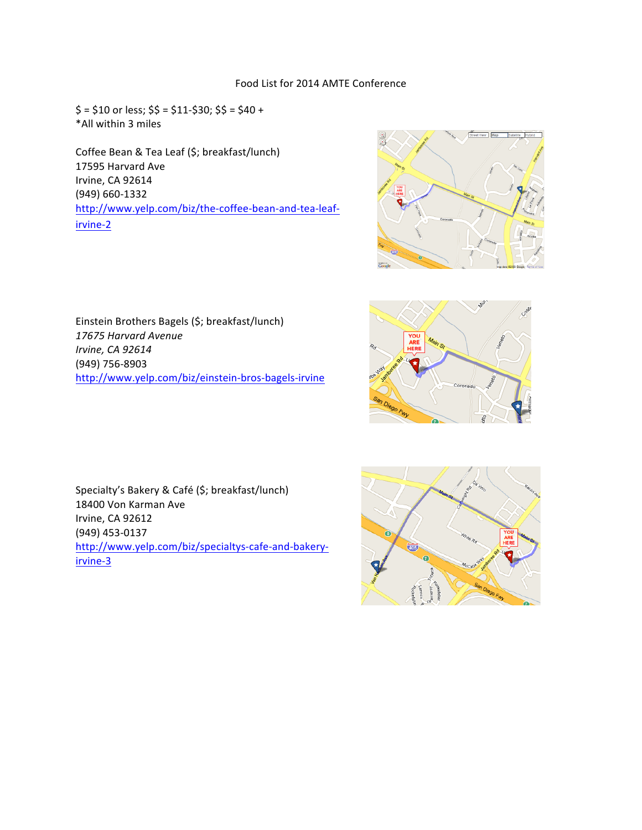## Food List for 2014 AMTE Conference

 $$ = $10$  or less;  $$ = $11 - $30$ ;  $$ = $40 +$ \*All within 3 miles

Coffee Bean & Tea Leaf (\$; breakfast/lunch) 17595 Harvard Ave Irvine, CA 92614 (949) 660-1332 http://www.yelp.com/biz/the-coffee-bean-and-tea-leafirvine-2



Einstein Brothers Bagels (\$; breakfast/lunch) *17675 Harvard Avenue Irvine, CA 92614* (949) 756-8903 http://www.yelp.com/biz/einstein-bros-bagels-irvine



Specialty's Bakery & Café (\$; breakfast/lunch) 18400 Von Karman Ave Irvine, CA 92612 (949) 453-0137 http://www.yelp.com/biz/specialtys-cafe-and-bakeryirvine-3

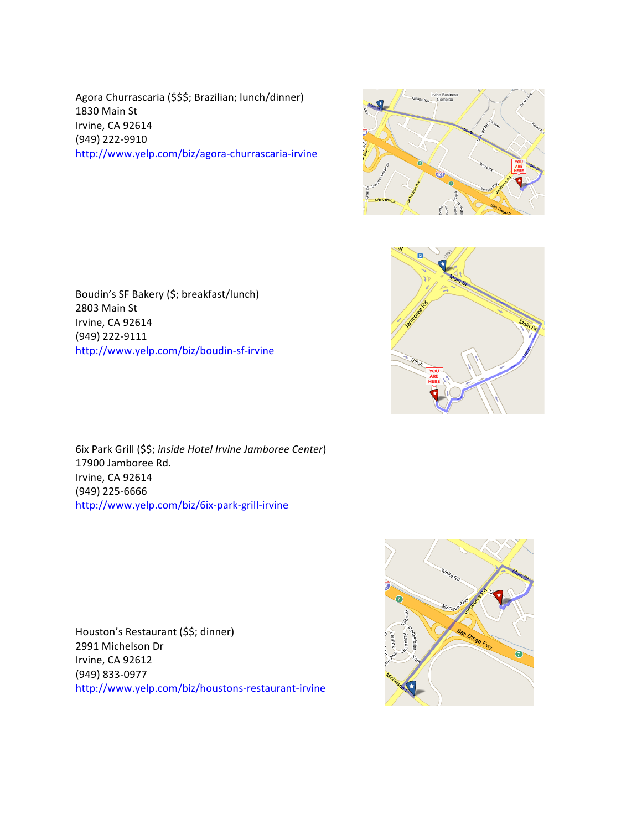Agora Churrascaria (\$\$\$; Brazilian; lunch/dinner) 1830 Main St Irvine, CA 92614 (949) 222-9910 http://www.yelp.com/biz/agora-churrascaria-irvine





Boudin's SF Bakery (\$; breakfast/lunch) 2803 Main St Irvine, CA 92614 (949) 222-9111 http://www.yelp.com/biz/boudin-sf-irvine

6ix Park Grill (\$\$; *inside Hotel Irvine Jamboree Center*) 17900 Jamboree Rd. Irvine, CA 92614 (949) 225-6666 http://www.yelp.com/biz/6ix-park-grill-irvine

Houston's Restaurant (\$\$; dinner) 2991 Michelson Dr Irvine, CA 92612 (949) 833-0977 http://www.yelp.com/biz/houstons-restaurant-irvine

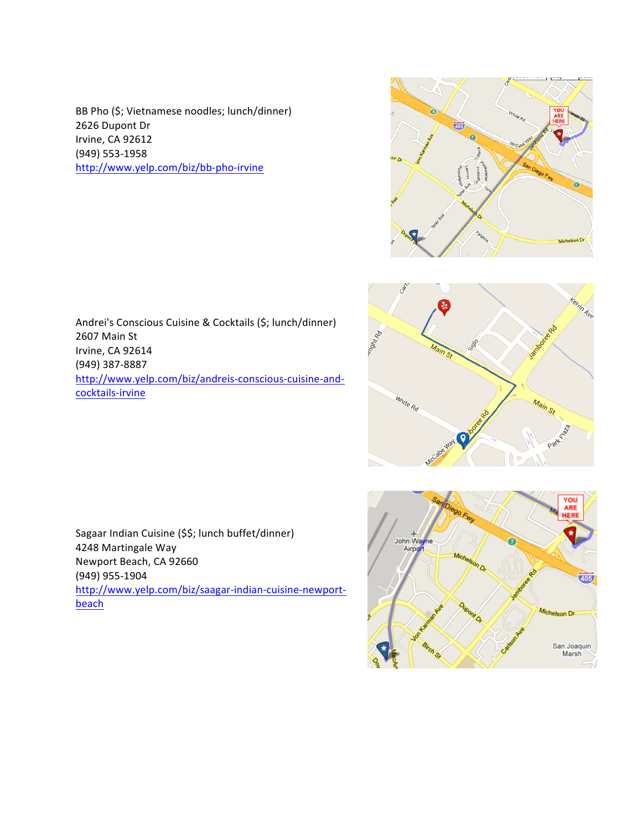BB Pho (\$; Vietnamese noodles; lunch/dinner) 2626 Dupont Dr Irvine, CA 92612 (949) 553-1958 http://www.yelp.com/biz/bb-pho-irvine

Andrei's Conscious Cuisine & Cocktails (\$; lunch/dinner) 2607 Main St Irvine, CA 92614 (949) 387-8887 http://www.yelp.com/biz/andreis-conscious-cuisine-andcocktails-irvine





Sagaar Indian Cuisine (\$\$; lunch buffet/dinner) 4248 Martingale Way Newport Beach, CA 92660 (949) 955-1904 http://www.yelp.com/biz/saagar-indian-cuisine-newportbeach

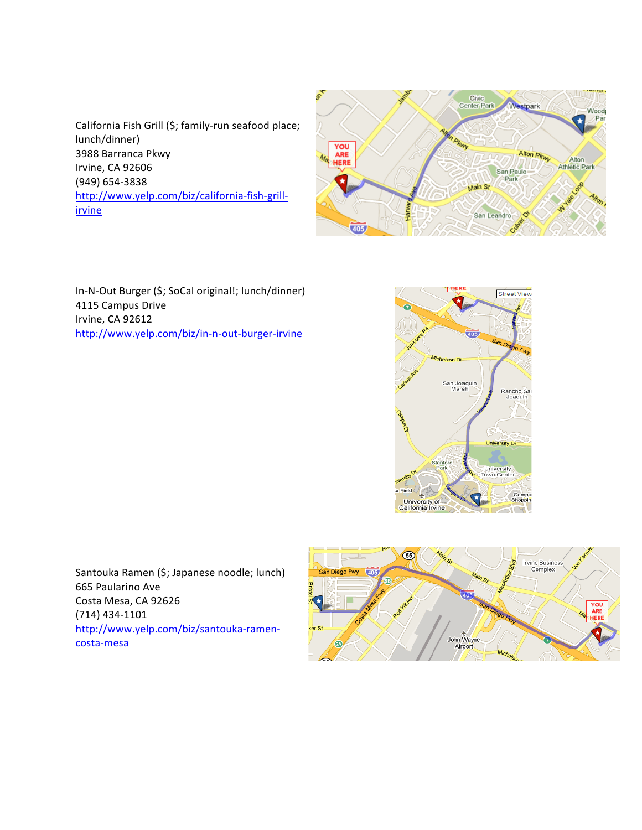California Fish Grill (\$; family-run seafood place; lunch/dinner) 3988 Barranca Pkwy Irvine, CA 92606 (949) 654-3838 http://www.yelp.com/biz/california-fish-grillirvine



In-N-Out Burger (\$; SoCal original!; lunch/dinner) 4115 Campus Drive Irvine, CA 92612 http://www.yelp.com/biz/in-n-out-burger-irvine



Santouka Ramen (\$; Japanese noodle; lunch) 665 Paularino Ave Costa Mesa, CA 92626 (714) 434-1101 http://www.yelp.com/biz/santouka-ramencosta-mesa